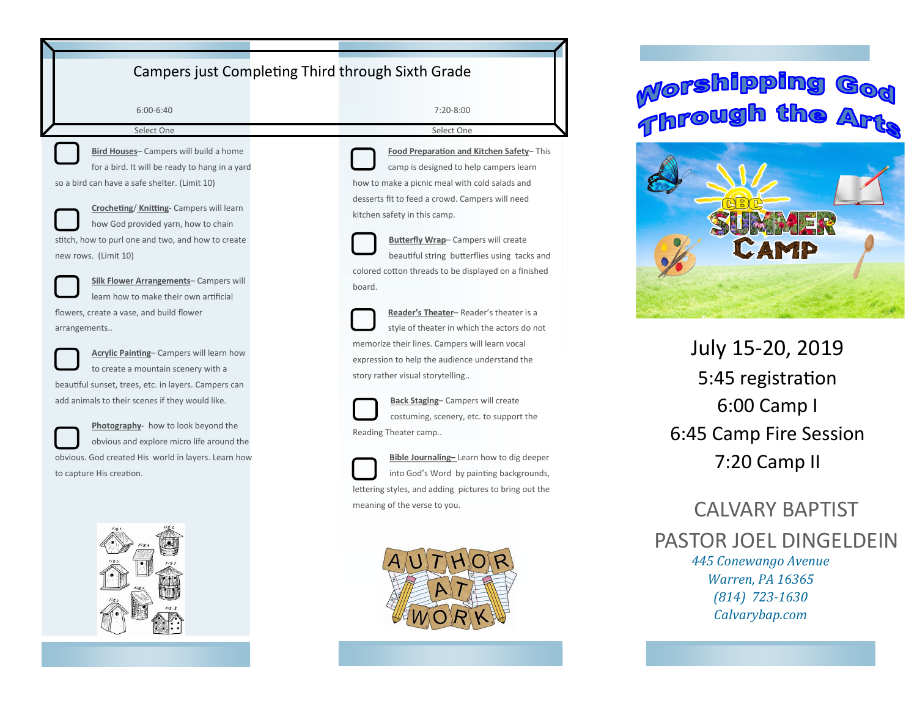## Campers just Completing Third through Sixth Grade

6:00-6:40 Select One

**Bird Houses**– Campers will build a home for a bird. It will be ready to hang in a yard

so a bird can have a safe shelter. (Limit 10)



**Crocheting**/ **Knitting-** Campers will learn how God provided yarn, how to chain

stitch, how to purl one and two, and how to create new rows. (Limit 10)



**Silk Flower Arrangements**– Campers will learn how to make their own artificial flowers, create a vase, and build flower arrangements..



**Acrylic Painting**– Campers will learn how to create a mountain scenery with a

beautiful sunset, trees, etc. in layers. Campers can add animals to their scenes if they would like.



**Photography**- how to look beyond the obvious and explore micro life around the obvious. God created His world in layers. Learn how

to capture His creation.



7:20-8:00

Select One

**Food Preparation and Kitchen Safety**– This camp is designed to help campers learn how to make a picnic meal with cold salads and desserts fit to feed a crowd. Campers will need kitchen safety in this camp.

**Butterfly Wrap**– Campers will create beautiful string butterflies using tacks and colored cotton threads to be displayed on a finished board.

**Reader's Theater**– Reader's theater is a style of theater in which the actors do not memorize their lines. Campers will learn vocal expression to help the audience understand the story rather visual storytelling..

**Back Staging**– Campers will create costuming, scenery, etc. to support the Reading Theater camp..



**Bible Journaling–** Learn how to dig deeper into God's Word by painting backgrounds, lettering styles, and adding pictures to bring out the meaning of the verse to you.



# **Morshipping** Throug



July 15-20, 2019 5:45 registration 6:00 Camp I 6:45 Camp Fire Session 7:20 Camp II

## *445 Conewango Avenue Warren, PA 16365 (814) 723-1630* CALVARY BAPTIST PASTOR JOEL DINGELDEIN

*Calvarybap.com*